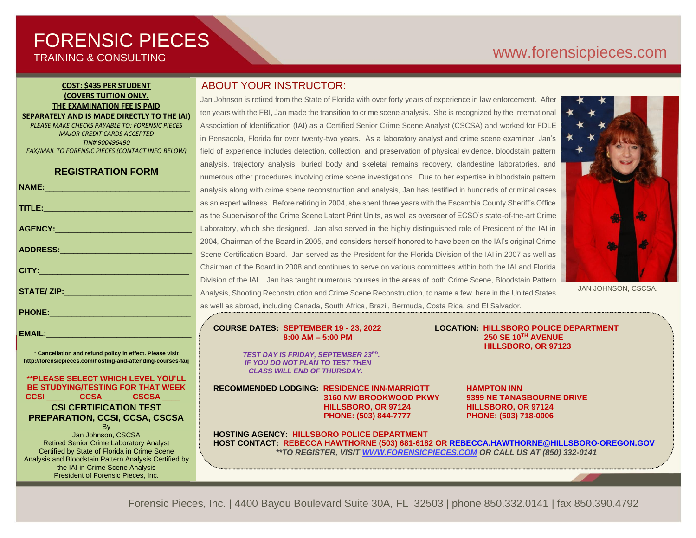# FORENSIC PIECES TRAINING & CONSULTING

# [www.forensicp](http://www.forensic/)ieces.com

#### **COST: \$435 PER STUDENT (COVERS TUITION ONLY. THE EXAMINATION FEE IS PAID SEPARATELY AND IS MADE DIRECTLY TO THE IAI)**

*PLEASE MAKE CHECKS PAYABLE TO: FORENSIC PIECES MAJOR CREDIT CARDS ACCEPTED TIN# 900496490 FAX/MAIL TO FORENSIC PIECES (CONTACT INFO BELOW)*

## **REGISTRATION FORM**

|                                                                                                                                                                                                                                | a              |
|--------------------------------------------------------------------------------------------------------------------------------------------------------------------------------------------------------------------------------|----------------|
| TITLE: Production and the contract of the contract of the contract of the contract of the contract of the contract of the contract of the contract of the contract of the contract of the contract of the contract of the cont | a:             |
|                                                                                                                                                                                                                                | a:             |
|                                                                                                                                                                                                                                | Ŀ              |
|                                                                                                                                                                                                                                | $\overline{2}$ |
|                                                                                                                                                                                                                                | S              |
| <b>CITY: And CITY: And CITY:</b>                                                                                                                                                                                               | C              |
|                                                                                                                                                                                                                                | D              |
|                                                                                                                                                                                                                                | $\overline{A}$ |
| PHONE: 2008 2010 2010 2021 2022 2023 2024 2022 2023 2024 2022 2023 2024 2022 2023                                                                                                                                              | a:             |
|                                                                                                                                                                                                                                |                |

\* **Cancellation and refund policy in effect. Please visit http://forensicpieces.com/hosting-and-attending-courses-faq**

EMAIL:

**\*\*PLEASE SELECT WHICH LEVEL YOU'LL BE STUDYING/TESTING FOR THAT WEEK CCSI \_\_\_\_ CCSA \_\_\_\_ CSCSA \_\_\_\_ CSI CERTIFICATION TEST**

#### **PREPARATION, CCSI, CCSA, CSCSA B**<sub>v</sub>

Jan Johnson, CSCSA Retired Senior Crime Laboratory Analyst Certified by State of Florida in Crime Scene Analysis and Bloodstain Pattern Analysis Certified by the IAI in Crime Scene Analysis President of Forensic Pieces, Inc.

## ABOUT YOUR INSTRUCTOR:

Jan Johnson is retired from the State of Florida with over forty years of experience in law enforcement. After ten years with the FBI, Jan made the transition to crime scene analysis. She is recognized by the International Association of Identification (IAI) as a Certified Senior Crime Scene Analyst (CSCSA) and worked for FDLE in Pensacola, Florida for over twenty-two years. As a laboratory analyst and crime scene examiner, Jan's field of experience includes detection, collection, and preservation of physical evidence, bloodstain pattern analysis, trajectory analysis, buried body and skeletal remains recovery, clandestine laboratories, and numerous other procedures involving crime scene investigations. Due to her expertise in bloodstain pattern nalysis along with crime scene reconstruction and analysis, Jan has testified in hundreds of criminal cases as an expert witness. Before retiring in 2004, she spent three years with the Escambia County Sheriff's Office as the Supervisor of the Crime Scene Latent Print Units, as well as overseer of ECSO's state-of-the-art Crime Laboratory, which she designed. Jan also served in the highly distinguished role of President of the IAI in 2004, Chairman of the Board in 2005, and considers herself honored to have been on the IAI's original Crime Scene Certification Board. Jan served as the President for the Florida Division of the IAI in 2007 as well as Chairman of the Board in 2008 and continues to serve on various committees within both the IAI and Florida livision of the IAI. Jan has taught numerous courses in the areas of both Crime Scene, Bloodstain Pattern Analysis, Shooting Reconstruction and Crime Scene Reconstruction, to name a few, here in the United States as well as abroad, including Canada, South Africa, Brazil, Bermuda, Costa Rica, and El Salvador.



JAN JOHNSON, CSCSA.

#### **COURSE DATES: SEPTEMBER 19 - 23, 2022 LOCATION: HILLSBORO POLICE DEPARTMENT 8:00 AM – 5:00 PM 250 SE 10TH AVENUE**

 *TEST DAY IS FRIDAY, SEPTEMBER 23RD . IF YOU DO NOT PLAN TO TEST THEN CLASS WILL END OF THURSDAY.*

**RECOMMENDED LODGING: RESIDENCE INN-MARRIOTT HAMPTON INN HILLSBORO, OR 97124 HILLSBORO, OR 97124 PHONE: (503) 844-7777 PHONE: (503) 718-0006**

 **3160 NW BROOKWOOD PKWY 9399 NE TANASBOURNE DRIVE**

 **HILLSBORO, OR 97123**

**HOSTING AGENCY: HILLSBORO POLICE DEPARTMENT HOST CONTACT: REBECCA HAWTHORNE (503) 681-6182 OR REBECCA.HAWTHORNE@HILLSBORO-OREGON.GOV** *\*\*TO REGISTER, VISIT [WWW.FORENSICPIECES.COM](http://www.forensicpieces.com/) OR CALL US AT (850) 332-0141*

Forensic Pieces, Inc. | 4400 Bayou Boulevard Suite 30A, FL 32503 | phone 850.332.0141 | fax 850.390.4792